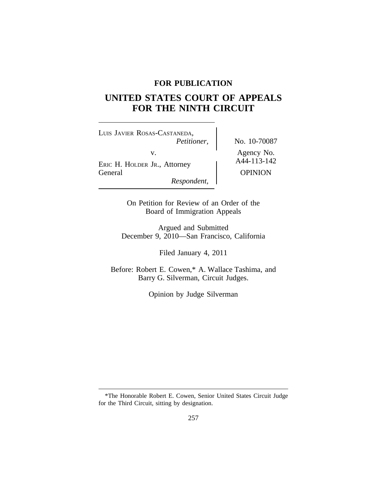# **FOR PUBLICATION**

# **UNITED STATES COURT OF APPEALS FOR THE NINTH CIRCUIT**

<sup>L</sup>UIS JAVIER ROSAS-CASTANEDA, *Petitioner,* No. 10-70087 v.<br>
ERIC H. HOLDER JR., Attorney A44-113-142 General OPINION *Respondent,*

On Petition for Review of an Order of the Board of Immigration Appeals

Argued and Submitted December 9, 2010—San Francisco, California

Filed January 4, 2011

Before: Robert E. Cowen,\* A. Wallace Tashima, and Barry G. Silverman, Circuit Judges.

Opinion by Judge Silverman

<sup>\*</sup>The Honorable Robert E. Cowen, Senior United States Circuit Judge for the Third Circuit, sitting by designation.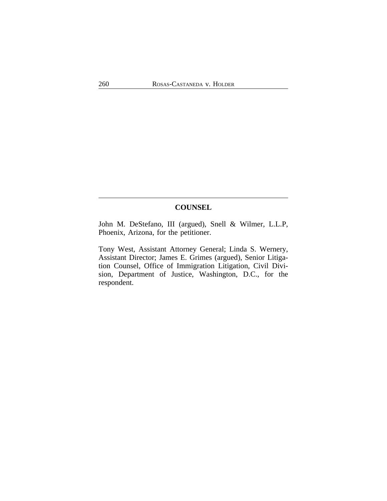# **COUNSEL**

John M. DeStefano, III (argued), Snell & Wilmer, L.L.P, Phoenix, Arizona, for the petitioner.

Tony West, Assistant Attorney General; Linda S. Wernery, Assistant Director; James E. Grimes (argued), Senior Litigation Counsel, Office of Immigration Litigation, Civil Division, Department of Justice, Washington, D.C., for the respondent.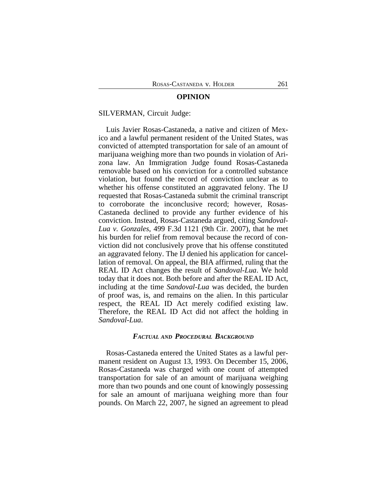#### **OPINION**

### SILVERMAN, Circuit Judge:

Luis Javier Rosas-Castaneda, a native and citizen of Mexico and a lawful permanent resident of the United States, was convicted of attempted transportation for sale of an amount of marijuana weighing more than two pounds in violation of Arizona law. An Immigration Judge found Rosas-Castaneda removable based on his conviction for a controlled substance violation, but found the record of conviction unclear as to whether his offense constituted an aggravated felony. The IJ requested that Rosas-Castaneda submit the criminal transcript to corroborate the inconclusive record; however, Rosas-Castaneda declined to provide any further evidence of his conviction. Instead, Rosas-Castaneda argued, citing *Sandoval-Lua v. Gonzales*, 499 F.3d 1121 (9th Cir. 2007), that he met his burden for relief from removal because the record of conviction did not conclusively prove that his offense constituted an aggravated felony. The IJ denied his application for cancellation of removal. On appeal, the BIA affirmed, ruling that the REAL ID Act changes the result of *Sandoval-Lua*. We hold today that it does not. Both before and after the REAL ID Act, including at the time *Sandoval-Lua* was decided, the burden of proof was, is, and remains on the alien. In this particular respect, the REAL ID Act merely codified existing law. Therefore, the REAL ID Act did not affect the holding in *Sandoval-Lua*.

### *FACTUAL AND PROCEDURAL BACKGROUND*

Rosas-Castaneda entered the United States as a lawful permanent resident on August 13, 1993. On December 15, 2006, Rosas-Castaneda was charged with one count of attempted transportation for sale of an amount of marijuana weighing more than two pounds and one count of knowingly possessing for sale an amount of marijuana weighing more than four pounds. On March 22, 2007, he signed an agreement to plead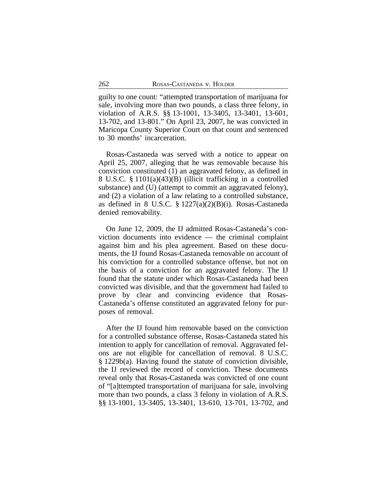guilty to one count: "attempted transportation of marijuana for sale, involving more than two pounds, a class three felony, in violation of A.R.S. §§ 13-1001, 13-3405, 13-3401, 13-601, 13-702, and 13-801." On April 23, 2007, he was convicted in Maricopa County Superior Court on that count and sentenced to 30 months' incarceration.

Rosas-Castaneda was served with a notice to appear on April 25, 2007, alleging that he was removable because his conviction constituted (1) an aggravated felony, as defined in 8 U.S.C. § 1101(a)(43)(B) (illicit trafficking in a controlled substance) and (U) (attempt to commit an aggravated felony), and (2) a violation of a law relating to a controlled substance, as defined in 8 U.S.C. § 1227(a)(2)(B)(i). Rosas-Castaneda denied removability.

On June 12, 2009, the IJ admitted Rosas-Castaneda's conviction documents into evidence — the criminal complaint against him and his plea agreement. Based on these documents, the IJ found Rosas-Castaneda removable on account of his conviction for a controlled substance offense, but not on the basis of a conviction for an aggravated felony. The IJ found that the statute under which Rosas-Castaneda had been convicted was divisible, and that the government had failed to prove by clear and convincing evidence that Rosas-Castaneda's offense constituted an aggravated felony for purposes of removal.

After the IJ found him removable based on the conviction for a controlled substance offense, Rosas-Castaneda stated his intention to apply for cancellation of removal. Aggravated felons are not eligible for cancellation of removal. 8 U.S.C. § 1229b(a). Having found the statute of conviction divisible, the IJ reviewed the record of conviction. These documents reveal only that Rosas-Castaneda was convicted of one count of "[a]ttempted transportation of marijuana for sale, involving more than two pounds, a class 3 felony in violation of A.R.S. §§ 13-1001, 13-3405, 13-3401, 13-610, 13-701, 13-702, and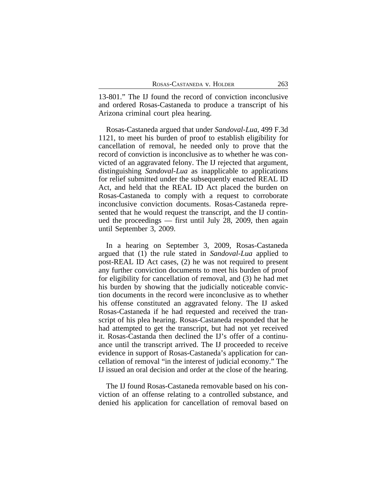13-801." The IJ found the record of conviction inconclusive and ordered Rosas-Castaneda to produce a transcript of his Arizona criminal court plea hearing.

Rosas-Castaneda argued that under *Sandoval-Lua*, 499 F.3d 1121, to meet his burden of proof to establish eligibility for cancellation of removal, he needed only to prove that the record of conviction is inconclusive as to whether he was convicted of an aggravated felony. The IJ rejected that argument, distinguishing *Sandoval-Lua* as inapplicable to applications for relief submitted under the subsequently enacted REAL ID Act, and held that the REAL ID Act placed the burden on Rosas-Castaneda to comply with a request to corroborate inconclusive conviction documents. Rosas-Castaneda represented that he would request the transcript, and the IJ continued the proceedings — first until July 28, 2009, then again until September 3, 2009.

In a hearing on September 3, 2009, Rosas-Castaneda argued that (1) the rule stated in *Sandoval-Lua* applied to post-REAL ID Act cases, (2) he was not required to present any further conviction documents to meet his burden of proof for eligibility for cancellation of removal, and (3) he had met his burden by showing that the judicially noticeable conviction documents in the record were inconclusive as to whether his offense constituted an aggravated felony. The IJ asked Rosas-Castaneda if he had requested and received the transcript of his plea hearing. Rosas-Castaneda responded that he had attempted to get the transcript, but had not yet received it. Rosas-Castanda then declined the IJ's offer of a continuance until the transcript arrived. The IJ proceeded to receive evidence in support of Rosas-Castaneda's application for cancellation of removal "in the interest of judicial economy." The IJ issued an oral decision and order at the close of the hearing.

The IJ found Rosas-Castaneda removable based on his conviction of an offense relating to a controlled substance, and denied his application for cancellation of removal based on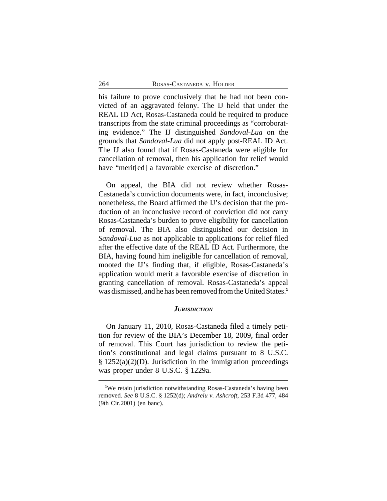his failure to prove conclusively that he had not been convicted of an aggravated felony. The IJ held that under the REAL ID Act, Rosas-Castaneda could be required to produce transcripts from the state criminal proceedings as "corroborating evidence." The IJ distinguished *Sandoval-Lua* on the grounds that *Sandoval-Lua* did not apply post-REAL ID Act. The IJ also found that if Rosas-Castaneda were eligible for cancellation of removal, then his application for relief would have "merited] a favorable exercise of discretion."

On appeal, the BIA did not review whether Rosas-Castaneda's conviction documents were, in fact, inconclusive; nonetheless, the Board affirmed the IJ's decision that the production of an inconclusive record of conviction did not carry Rosas-Castaneda's burden to prove eligibility for cancellation of removal. The BIA also distinguished our decision in *Sandoval-Lua* as not applicable to applications for relief filed after the effective date of the REAL ID Act. Furthermore, the BIA, having found him ineligible for cancellation of removal, mooted the IJ's finding that, if eligible, Rosas-Castaneda's application would merit a favorable exercise of discretion in granting cancellation of removal. Rosas-Castaneda's appeal was dismissed, and he has been removed from the United States.**<sup>1</sup>**

## *JURISDICTION*

On January 11, 2010, Rosas-Castaneda filed a timely petition for review of the BIA's December 18, 2009, final order of removal. This Court has jurisdiction to review the petition's constitutional and legal claims pursuant to 8 U.S.C. § 1252(a)(2)(D). Jurisdiction in the immigration proceedings was proper under 8 U.S.C. § 1229a.

<sup>&</sup>lt;sup>1</sup>We retain jurisdiction notwithstanding Rosas-Castaneda's having been removed. *See* 8 U.S.C. § 1252(d); *Andreiu v. Ashcroft*, 253 F.3d 477, 484 (9th Cir.2001) (en banc).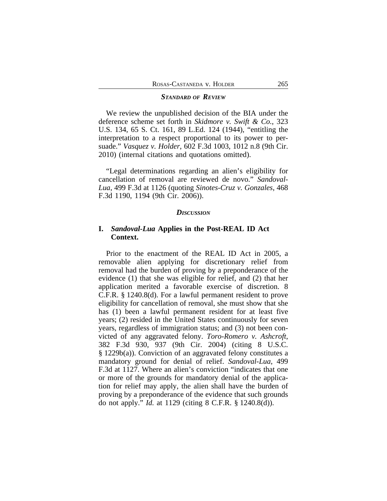#### *STANDARD OF REVIEW*

We review the unpublished decision of the BIA under the deference scheme set forth in *Skidmore v. Swift & Co.*, 323 U.S. 134, 65 S. Ct. 161, 89 L.Ed. 124 (1944), "entitling the interpretation to a respect proportional to its power to persuade." *Vasquez v. Holder*, 602 F.3d 1003, 1012 n.8 (9th Cir. 2010) (internal citations and quotations omitted).

"Legal determinations regarding an alien's eligibility for cancellation of removal are reviewed de novo." *Sandoval-Lua*, 499 F.3d at 1126 (quoting *Sinotes-Cruz v. Gonzales*, 468 F.3d 1190, 1194 (9th Cir. 2006)).

## *DISCUSSION*

## **I.** *Sandoval-Lua* **Applies in the Post-REAL ID Act Context.**

Prior to the enactment of the REAL ID Act in 2005, a removable alien applying for discretionary relief from removal had the burden of proving by a preponderance of the evidence (1) that she was eligible for relief, and (2) that her application merited a favorable exercise of discretion. 8 C.F.R. § 1240.8(d). For a lawful permanent resident to prove eligibility for cancellation of removal, she must show that she has (1) been a lawful permanent resident for at least five years; (2) resided in the United States continuously for seven years, regardless of immigration status; and (3) not been convicted of any aggravated felony. *Toro-Romero v. Ashcroft*, 382 F.3d 930, 937 (9th Cir. 2004) (citing 8 U.S.C. § 1229b(a)). Conviction of an aggravated felony constitutes a mandatory ground for denial of relief. *Sandoval-Lua*, 499 F.3d at 1127. Where an alien's conviction "indicates that one or more of the grounds for mandatory denial of the application for relief may apply, the alien shall have the burden of proving by a preponderance of the evidence that such grounds do not apply." *Id.* at 1129 (citing 8 C.F.R. § 1240.8(d)).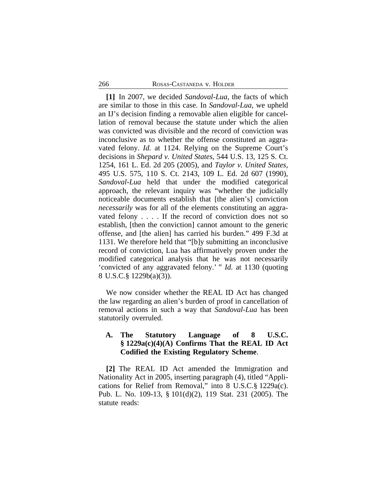**[1]** In 2007, we decided *Sandoval-Lua*, the facts of which are similar to those in this case. In *Sandoval-Lua*, we upheld an IJ's decision finding a removable alien eligible for cancellation of removal because the statute under which the alien was convicted was divisible and the record of conviction was inconclusive as to whether the offense constituted an aggravated felony. *Id.* at 1124. Relying on the Supreme Court's decisions in *Shepard v. United States*, 544 U.S. 13, 125 S. Ct. 1254, 161 L. Ed. 2d 205 (2005), and *Taylor v. United States*, 495 U.S. 575, 110 S. Ct. 2143, 109 L. Ed. 2d 607 (1990), *Sandoval-Lua* held that under the modified categorical approach, the relevant inquiry was "whether the judicially noticeable documents establish that [the alien's] conviction *necessarily* was for all of the elements constituting an aggravated felony . . . . If the record of conviction does not so establish, [then the conviction] cannot amount to the generic offense, and [the alien] has carried his burden." 499 F.3d at 1131. We therefore held that "[b]y submitting an inconclusive record of conviction, Lua has affirmatively proven under the modified categorical analysis that he was not necessarily 'convicted of any aggravated felony.' " *Id.* at 1130 (quoting 8 U.S.C.§ 1229b(a)(3)).

We now consider whether the REAL ID Act has changed the law regarding an alien's burden of proof in cancellation of removal actions in such a way that *Sandoval-Lua* has been statutorily overruled.

# **A. The Statutory Language of 8 U.S.C. § 1229a(c)(4)(A) Confirms That the REAL ID Act Codified the Existing Regulatory Scheme**.

**[2]** The REAL ID Act amended the Immigration and Nationality Act in 2005, inserting paragraph (4), titled "Applications for Relief from Removal," into 8 U.S.C.§ 1229a(c). Pub. L. No. 109-13, § 101(d)(2), 119 Stat. 231 (2005). The statute reads: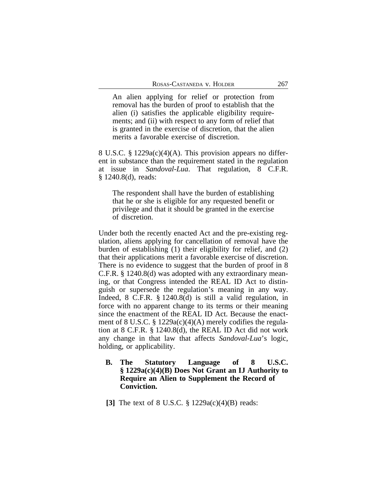An alien applying for relief or protection from removal has the burden of proof to establish that the alien (i) satisfies the applicable eligibility requirements; and (ii) with respect to any form of relief that is granted in the exercise of discretion, that the alien merits a favorable exercise of discretion.

8 U.S.C. § 1229a(c)(4)(A). This provision appears no different in substance than the requirement stated in the regulation at issue in *Sandoval-Lua*. That regulation, 8 C.F.R. § 1240.8(d), reads:

The respondent shall have the burden of establishing that he or she is eligible for any requested benefit or privilege and that it should be granted in the exercise of discretion.

Under both the recently enacted Act and the pre-existing regulation, aliens applying for cancellation of removal have the burden of establishing (1) their eligibility for relief, and (2) that their applications merit a favorable exercise of discretion. There is no evidence to suggest that the burden of proof in 8 C.F.R. § 1240.8(d) was adopted with any extraordinary meaning, or that Congress intended the REAL ID Act to distinguish or supersede the regulation's meaning in any way. Indeed, 8 C.F.R. § 1240.8(d) is still a valid regulation, in force with no apparent change to its terms or their meaning since the enactment of the REAL ID Act. Because the enactment of 8 U.S.C. § 1229a(c)(4)(A) merely codifies the regulation at 8 C.F.R. § 1240.8(d), the REAL ID Act did not work any change in that law that affects *Sandoval-Lua*'s logic, holding, or applicability.

- **B. The Statutory Language of 8 U.S.C. § 1229a(c)(4)(B) Does Not Grant an IJ Authority to Require an Alien to Supplement the Record of Conviction.**
- **[3]** The text of 8 U.S.C. § 1229a(c)(4)(B) reads: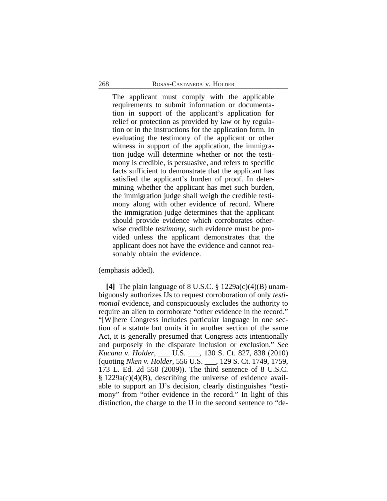The applicant must comply with the applicable requirements to submit information or documentation in support of the applicant's application for relief or protection as provided by law or by regulation or in the instructions for the application form. In evaluating the testimony of the applicant or other witness in support of the application, the immigration judge will determine whether or not the testimony is credible, is persuasive, and refers to specific facts sufficient to demonstrate that the applicant has satisfied the applicant's burden of proof. In determining whether the applicant has met such burden, the immigration judge shall weigh the credible testimony along with other evidence of record. Where the immigration judge determines that the applicant should provide evidence which corroborates otherwise credible *testimony*, such evidence must be provided unless the applicant demonstrates that the applicant does not have the evidence and cannot reasonably obtain the evidence.

(emphasis added).

**[4]** The plain language of 8 U.S.C. § 1229a(c)(4)(B) unambiguously authorizes IJs to request corroboration of only *testimonial* evidence, and conspicuously excludes the authority to require an alien to corroborate "other evidence in the record." "[W]here Congress includes particular language in one section of a statute but omits it in another section of the same Act, it is generally presumed that Congress acts intentionally and purposely in the disparate inclusion or exclusion." *See Kucana v. Holder*, \_\_\_ U.S. \_\_\_, 130 S. Ct. 827, 838 (2010) (quoting *Nken v. Holder*, 556 U.S. \_\_\_, 129 S. Ct. 1749, 1759, 173 L. Ed. 2d 550 (2009)). The third sentence of 8 U.S.C. § 1229a(c)(4)(B), describing the universe of evidence available to support an IJ's decision, clearly distinguishes "testimony" from "other evidence in the record." In light of this distinction, the charge to the IJ in the second sentence to "de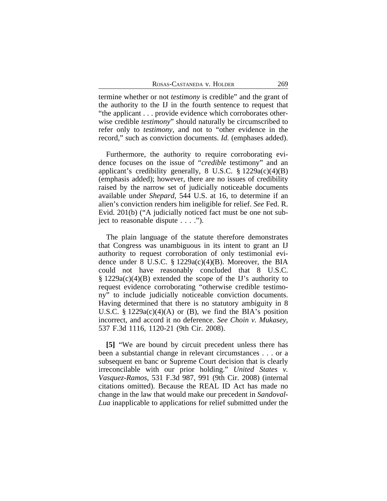termine whether or not *testimony* is credible" and the grant of the authority to the IJ in the fourth sentence to request that "the applicant . . . provide evidence which corroborates otherwise credible *testimony*" should naturally be circumscribed to refer only to *testimony*, and not to "other evidence in the record," such as conviction documents. *Id.* (emphases added).

Furthermore, the authority to require corroborating evidence focuses on the issue of "*credible* testimony" and an applicant's credibility generally, 8 U.S.C.  $\S 1229a(c)(4)(B)$ (emphasis added); however, there are no issues of credibility raised by the narrow set of judicially noticeable documents available under *Shepard*, 544 U.S. at 16, to determine if an alien's conviction renders him ineligible for relief. *See* Fed. R. Evid. 201(b) ("A judicially noticed fact must be one not subject to reasonable dispute . . . .").

The plain language of the statute therefore demonstrates that Congress was unambiguous in its intent to grant an IJ authority to request corroboration of only testimonial evidence under 8 U.S.C. § 1229 $a(c)(4)(B)$ . Moreover, the BIA could not have reasonably concluded that 8 U.S.C. § 1229a(c)(4)(B) extended the scope of the IJ's authority to request evidence corroborating "otherwise credible testimony" to include judicially noticeable conviction documents. Having determined that there is no statutory ambiguity in 8 U.S.C.  $\S 1229a(c)(4)(A)$  or (B), we find the BIA's position incorrect, and accord it no deference. *See Choin v. Mukasey*, 537 F.3d 1116, 1120-21 (9th Cir. 2008).

**[5]** "We are bound by circuit precedent unless there has been a substantial change in relevant circumstances . . . or a subsequent en banc or Supreme Court decision that is clearly irreconcilable with our prior holding." *United States v. Vasquez-Ramos*, 531 F.3d 987, 991 (9th Cir. 2008) (internal citations omitted). Because the REAL ID Act has made no change in the law that would make our precedent in *Sandoval-Lua* inapplicable to applications for relief submitted under the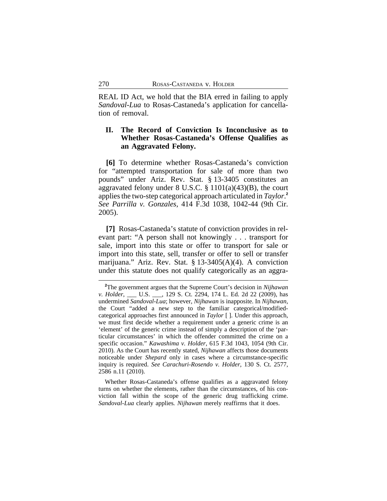REAL ID Act, we hold that the BIA erred in failing to apply *Sandoval-Lua* to Rosas-Castaneda's application for cancellation of removal.

## **II. The Record of Conviction Is Inconclusive as to Whether Rosas-Castaneda's Offense Qualifies as an Aggravated Felony.**

**[6]** To determine whether Rosas-Castaneda's conviction for "attempted transportation for sale of more than two pounds" under Ariz. Rev. Stat. § 13-3405 constitutes an aggravated felony under  $8$  U.S.C.  $\frac{8}{3}$  1101(a)(43)(B), the court applies the two-step categorical approach articulated in *Taylor*. **2** *See Parrilla v. Gonzales*, 414 F.3d 1038, 1042-44 (9th Cir. 2005).

**[7]** Rosas-Castaneda's statute of conviction provides in relevant part: "A person shall not knowingly . . . transport for sale, import into this state or offer to transport for sale or import into this state, sell, transfer or offer to sell or transfer marijuana." Ariz. Rev. Stat. § 13-3405(A)(4). A conviction under this statute does not qualify categorically as an aggra-

Whether Rosas-Castaneda's offense qualifies as a aggravated felony turns on whether the elements, rather than the circumstances, of his conviction fall within the scope of the generic drug trafficking crime. *Sandoval-Lua* clearly applies*. Nijhawan* merely reaffirms that it does.

**<sup>2</sup>**The government argues that the Supreme Court's decision in *Nijhawan v. Holder*, \_\_\_ U.S. \_\_\_, 129 S. Ct. 2294, 174 L. Ed. 2d 22 (2009), has undermined *Sandoval-Lua*; however, *Nijhawan* is inapposite. In *Nijhawan*, the Court "added a new step to the familiar categorical/modifiedcategorical approaches first announced in *Taylor* [ ]. Under this approach, we must first decide whether a requirement under a generic crime is an 'element' of the generic crime instead of simply a description of the 'particular circumstances' in which the offender committed the crime on a specific occasion." *Kawashima v. Holder*, 615 F.3d 1043, 1054 (9th Cir. 2010). As the Court has recently stated, *Nijhawan* affects those documents noticeable under *Shepard* only in cases where a circumstance-specific inquiry is required. *See Carachuri-Rosendo v. Holder*, 130 S. Ct. 2577, 2586 n.11 (2010).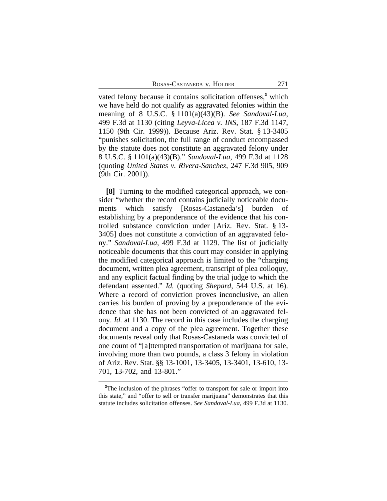vated felony because it contains solicitation offenses,**<sup>3</sup>** which we have held do not qualify as aggravated felonies within the meaning of 8 U.S.C. § 1101(a)(43)(B). *See Sandoval-Lua*, 499 F.3d at 1130 (citing *Leyva-Licea v. INS*, 187 F.3d 1147, 1150 (9th Cir. 1999)). Because Ariz. Rev. Stat. § 13-3405 "punishes solicitation, the full range of conduct encompassed by the statute does not constitute an aggravated felony under 8 U.S.C. § 1101(a)(43)(B)." *Sandoval-Lua*, 499 F.3d at 1128 (quoting *United States v. Rivera-Sanchez*, 247 F.3d 905, 909 (9th Cir. 2001)).

**[8]** Turning to the modified categorical approach, we consider "whether the record contains judicially noticeable documents which satisfy [Rosas-Castaneda's] burden establishing by a preponderance of the evidence that his controlled substance conviction under [Ariz. Rev. Stat. § 13- 3405] does not constitute a conviction of an aggravated felony." *Sandoval-Lua*, 499 F.3d at 1129. The list of judicially noticeable documents that this court may consider in applying the modified categorical approach is limited to the "charging document, written plea agreement, transcript of plea colloquy, and any explicit factual finding by the trial judge to which the defendant assented." *Id.* (quoting *Shepard*, 544 U.S. at 16). Where a record of conviction proves inconclusive, an alien carries his burden of proving by a preponderance of the evidence that she has not been convicted of an aggravated felony. *Id.* at 1130. The record in this case includes the charging document and a copy of the plea agreement. Together these documents reveal only that Rosas-Castaneda was convicted of one count of "[a]ttempted transportation of marijuana for sale, involving more than two pounds, a class 3 felony in violation of Ariz. Rev. Stat. §§ 13-1001, 13-3405, 13-3401, 13-610, 13- 701, 13-702, and 13-801."

**<sup>3</sup>**The inclusion of the phrases "offer to transport for sale or import into this state," and "offer to sell or transfer marijuana" demonstrates that this statute includes solicitation offenses. *See Sandoval-Lua*, 499 F.3d at 1130.